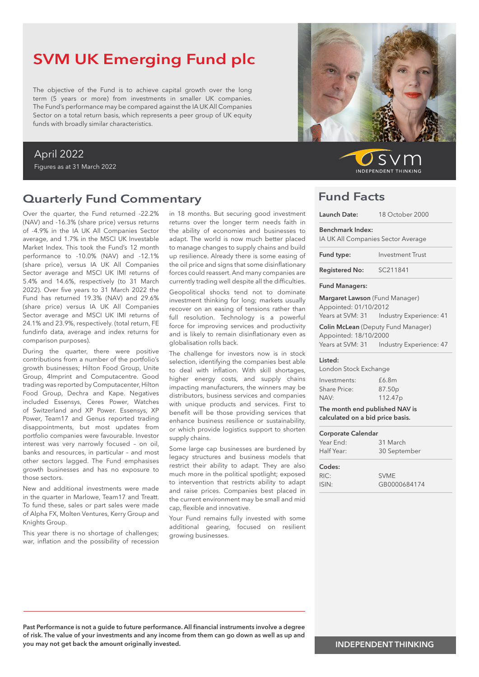# SVM UK Emerging Fund plc

The objective of the Fund is to achieve capital growth over the long term (5 years or more) from investments in smaller UK companies. The Fund's performance may be compared against the IA UK All Companies Sector on a total return basis, which represents a peer group of UK equity funds with broadly similar characteristics.

#### April 2022

Figures as at 31 March 2022

### Quarterly Fund Commentary

Over the quarter, the Fund returned -22.2% (NAV) and -16.3% (share price) versus returns of -4.9% in the IA UK All Companies Sector average, and 1.7% in the MSCI UK Investable Market Index. This took the Fund's 12 month performance to -10.0% (NAV) and -12.1% (share price), versus IA UK All Companies Sector average and MSCI UK IMI returns of 5.4% and 14.6%, respectively (to 31 March 2022). Over five years to 31 March 2022 the Fund has returned 19.3% (NAV) and 29.6% (share price) versus IA UK All Companies Sector average and MSCI UK IMI returns of 24.1% and 23.9%, respectively. (total return, FE fundinfo data, average and index returns for comparison purposes).

During the quarter, there were positive contributions from a number of the portfolio's growth businesses; Hilton Food Group, Unite Group, 4Imprint and Computacentre. Good trading was reported by Computacenter, Hilton Food Group, Dechra and Kape. Negatives included Essensys, Ceres Power, Watches of Switzerland and XP Power. Essensys, XP Power, Team17 and Genus reported trading disappointments, but most updates from portfolio companies were favourable. Investor interest was very narrowly focused – on oil, banks and resources, in particular – and most other sectors lagged. The Fund emphasises growth businesses and has no exposure to those sectors.

New and additional investments were made in the quarter in Marlowe, Team17 and Treatt. To fund these, sales or part sales were made of Alpha FX, Molten Ventures, Kerry Group and Knights Group.

This year there is no shortage of challenges; war, inflation and the possibility of recession

in 18 months. But securing good investment returns over the longer term needs faith in the ability of economies and businesses to adapt. The world is now much better placed to manage changes to supply chains and build up resilience. Already there is some easing of the oil price and signs that some disinflationary forces could reassert. And many companies are currently trading well despite all the difficulties.

Geopolitical shocks tend not to dominate investment thinking for long; markets usually recover on an easing of tensions rather than full resolution. Technology is a powerful force for improving services and productivity and is likely to remain disinflationary even as globalisation rolls back.

The challenge for investors now is in stock selection, identifying the companies best able to deal with inflation. With skill shortages, higher energy costs, and supply chains impacting manufacturers, the winners may be distributors, business services and companies with unique products and services. First to benefit will be those providing services that enhance business resilience or sustainability, or which provide logistics support to shorten supply chains.

Some large cap businesses are burdened by legacy structures and business models that restrict their ability to adapt. They are also much more in the political spotlight; exposed to intervention that restricts ability to adapt and raise prices. Companies best placed in the current environment may be small and mid cap, flexible and innovative.

Your Fund remains fully invested with some additional gearing, focused on resilient growing businesses.



 $S$ **INDEPENDENT THINKING** 

### Fund Facts

| Launch Date:                                                       | 18 October 2000                             |  |  |
|--------------------------------------------------------------------|---------------------------------------------|--|--|
| <b>Benchmark Index:</b>                                            | IA UK All Companies Sector Average          |  |  |
| Fund type:                                                         | <b>Investment Trust</b>                     |  |  |
| <b>Registered No:</b>                                              | SC211841                                    |  |  |
| <b>Fund Managers:</b>                                              |                                             |  |  |
| Margaret Lawson (Fund Manager)<br>Appointed: 01/10/2012            |                                             |  |  |
|                                                                    | Years at SVM: 31    Industry Experience: 41 |  |  |
| Appointed: 18/10/2000                                              | <b>Colin McLean</b> (Deputy Fund Manager)   |  |  |
|                                                                    | Years at SVM: 31    Industry Experience: 47 |  |  |
| Listed:                                                            |                                             |  |  |
| London Stock Exchange                                              |                                             |  |  |
| Investments:                                                       | £6.8m                                       |  |  |
| Share Price:                                                       | 87.50p                                      |  |  |
| NAV·                                                               | 112.47p                                     |  |  |
| The month end published NAV is<br>calculated on a bid price basis. |                                             |  |  |
| <b>Corporate Calendar</b>                                          |                                             |  |  |
| Year Fnd:                                                          | 31 March                                    |  |  |
| Half Year:                                                         | 30 September                                |  |  |
| Codes:                                                             |                                             |  |  |
| RIC:                                                               | <b>SVME</b>                                 |  |  |
| ISIN:                                                              | GB0000684174                                |  |  |

Past Performance is not a guide to future performance. All financial instruments involve a degree of risk. The value of your investments and any income from them can go down as well as up and you may not get back the amount originally invested.